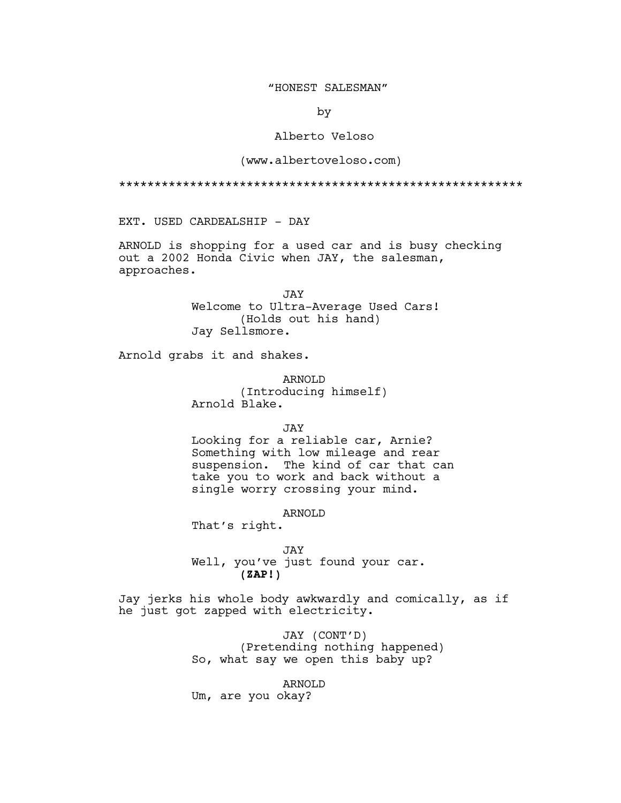# "HONEST SALESMAN"

by

# Alberto Veloso

# (www.albertoveloso.com)

\*\*\*\*\*\*\*\*\*\*\*\*\*\*\*\*\*\*\*\*\*\*\*\*\*\*\*\*\*\*\*\*\*\*\*\*\*\*\*\*\*\*\*\*\*\*\*\*\*\*\*\*\*\*\*\*\*

EXT. USED CARDEALSHIP - DAY

ARNOLD is shopping for a used car and is busy checking out a 2002 Honda Civic when JAY, the salesman, approaches.

> JAY Welcome to Ultra-Average Used Cars! (Holds out his hand) Jay Sellsmore.

Arnold grabs it and shakes.

ARNOLD (Introducing himself) Arnold Blake.

JAY

Looking for a reliable car, Arnie? Something with low mileage and rear suspension. The kind of car that can take you to work and back without a single worry crossing your mind.

ARNOLD

That's right.

JAY Well, you've just found your car. **(ZAP!)**

Jay jerks his whole body awkwardly and comically, as if he just got zapped with electricity.

> JAY (CONT'D) (Pretending nothing happened) So, what say we open this baby up?

ARNOLD Um, are you okay?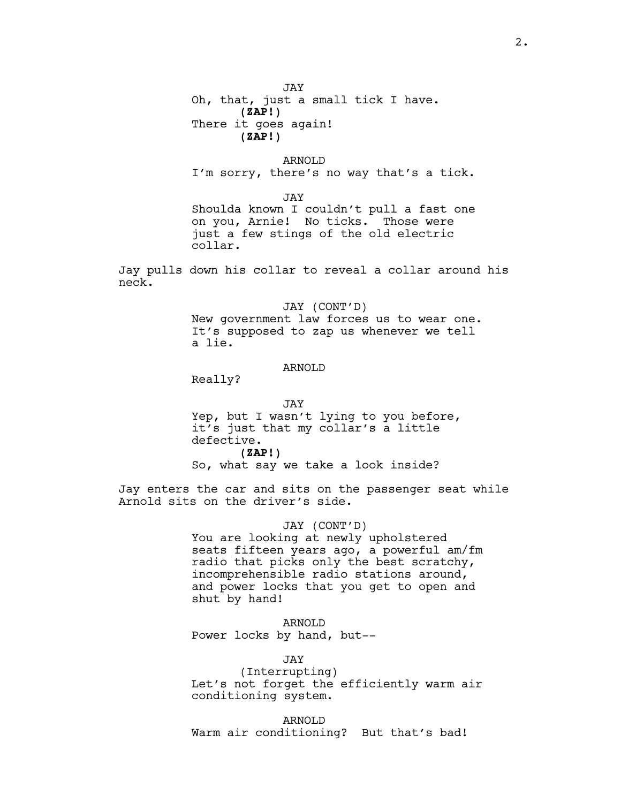JAY Oh, that, just a small tick I have. **(ZAP!)** There it goes again! **(ZAP!)**

ARNOLD I'm sorry, there's no way that's a tick.

JAY

Shoulda known I couldn't pull a fast one on you, Arnie! No ticks. Those were just a few stings of the old electric collar.

Jay pulls down his collar to reveal a collar around his neck.

> JAY (CONT'D) New government law forces us to wear one. It's supposed to zap us whenever we tell a lie.

# ARNOLD

Really?

JAY Yep, but I wasn't lying to you before, it's just that my collar's a little defective. **(ZAP!)** So, what say we take a look inside?

Jay enters the car and sits on the passenger seat while Arnold sits on the driver's side.

### JAY (CONT'D)

You are looking at newly upholstered seats fifteen years ago, a powerful am/fm radio that picks only the best scratchy, incomprehensible radio stations around, and power locks that you get to open and shut by hand!

ARNOLD Power locks by hand, but--

JAY

(Interrupting) Let's not forget the efficiently warm air conditioning system.

ARNOLD Warm air conditioning? But that's bad!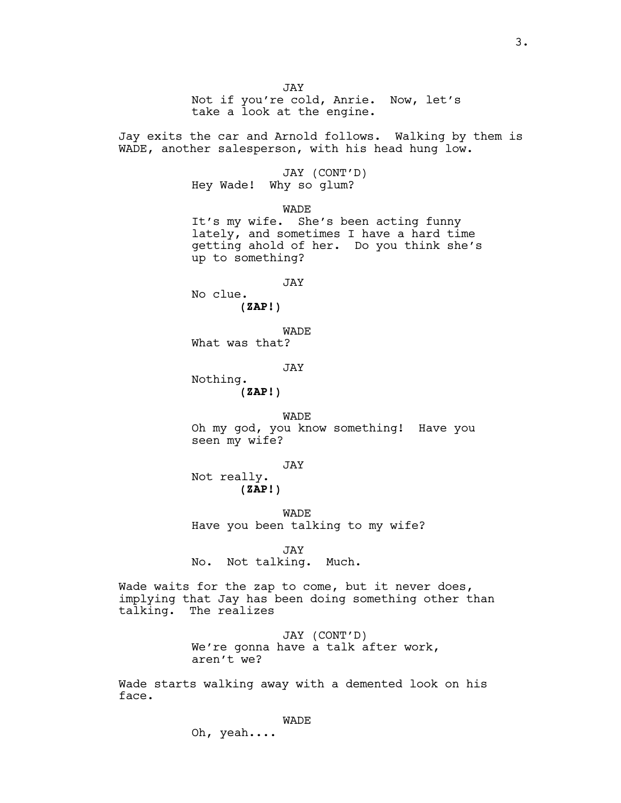JAY Not if you're cold, Anrie. Now, let's take a look at the engine. Jay exits the car and Arnold follows. Walking by them is WADE, another salesperson, with his head hung low. JAY (CONT'D) Hey Wade! Why so glum? WADE It's my wife. She's been acting funny lately, and sometimes I have a hard time getting ahold of her. Do you think she's up to something? JAY No clue. **(ZAP!)** WADE What was that? JAY Nothing. **(ZAP!)** WADE Oh my god, you know something! Have you seen my wife? JAY Not really. **(ZAP!)** WADE Have you been talking to my wife? JAY No. Not talking. Much. Wade waits for the zap to come, but it never does, implying that Jay has been doing something other than talking. The realizes JAY (CONT'D) We're gonna have a talk after work, aren't we?

Wade starts walking away with a demented look on his face.

# WADE

Oh, yeah....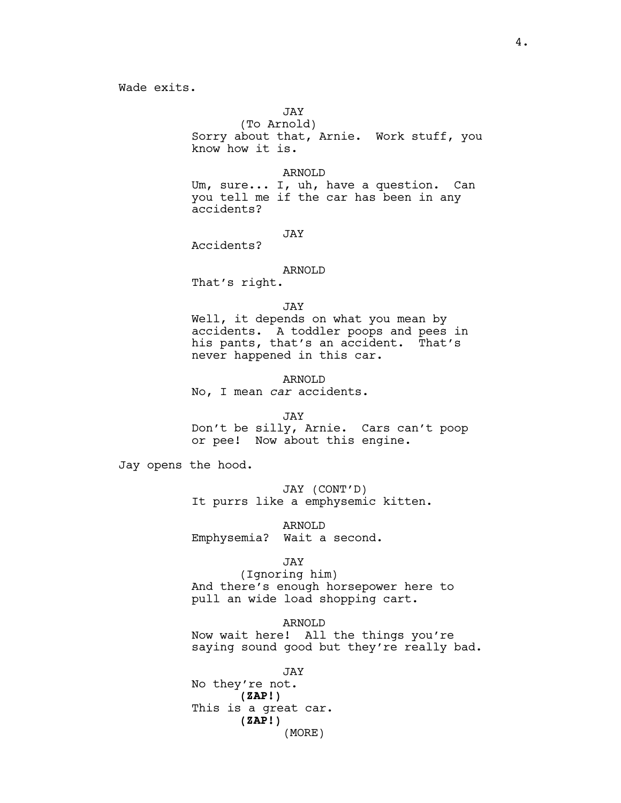JAY

(To Arnold) Sorry about that, Arnie. Work stuff, you know how it is.

# ARNOLD

Um, sure... I, uh, have a question. Can you tell me if the car has been in any accidents?

JAY

## ARNOLD

That's right.

Accidents?

### JAY

Well, it depends on what you mean by accidents. A toddler poops and pees in his pants, that's an accident. That's never happened in this car.

ARNOLD No, I mean *car* accidents.

### JAY

Don't be silly, Arnie. Cars can't poop or pee! Now about this engine.

Jay opens the hood.

JAY (CONT'D) It purrs like a emphysemic kitten.

ARNOLD Emphysemia? Wait a second.

# JAY

(Ignoring him) And there's enough horsepower here to pull an wide load shopping cart.

ARNOLD Now wait here! All the things you're saying sound good but they're really bad.

JAY No they're not. **(ZAP!)** This is a great car. **(ZAP!)** (MORE)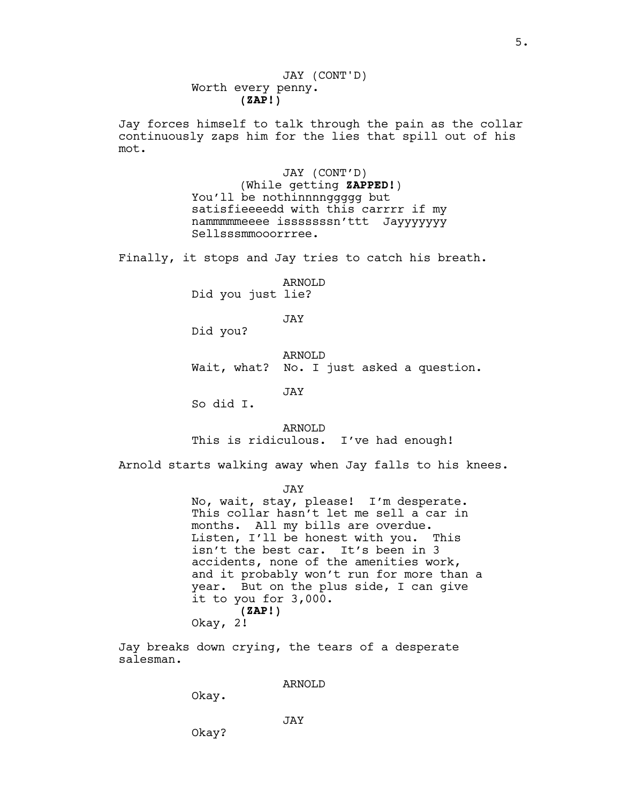Worth every penny. **(ZAP!)** JAY (CONT'D)

Jay forces himself to talk through the pain as the collar continuously zaps him for the lies that spill out of his mot.

> JAY (CONT'D) (While getting **ZAPPED!**) You'll be nothinnnnggggg but satisfieeeedd with this carrrr if my nammmmmeeee isssssssn'ttt Jayyyyyyy Sellsssmmooorrree.

Finally, it stops and Jay tries to catch his breath.

ARNOLD Did you just lie?

JAY

Did you?

# ARNOLD

Wait, what? No. I just asked a question.

JAY

So did I.

ARNOLD This is ridiculous. I've had enough!

Arnold starts walking away when Jay falls to his knees.

JAY

No, wait, stay, please! I'm desperate. This collar hasn't let me sell a car in months. All my bills are overdue. Listen, I'll be honest with you. This isn't the best car. It's been in 3 accidents, none of the amenities work, and it probably won't run for more than a year. But on the plus side, I can give it to you for 3,000. **(ZAP!)** Okay, 2!

Jay breaks down crying, the tears of a desperate salesman.

ARNOLD

Okay.

Okay?

JAY